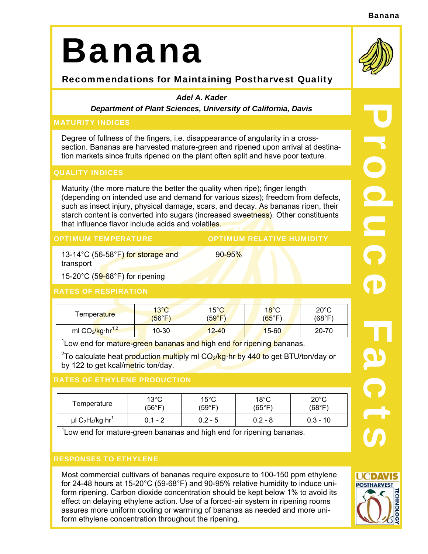#### Banana

# Banana

## Recommendations for Maintaining Postharvest Quality

#### *Adel A. Kader*

*Department of Plant Sciences, University of California, Davis* 

#### MATURITY INDICES

Degree of fullness of the fingers, i.e. disappearance of angularity in a crosssection. Bananas are harvested mature-green and ripened upon arrival at destination markets since fruits ripened on the plant often split and have poor texture.

#### QUALITY INDICES

Maturity (the more mature the better the quality when ripe); finger length (depending on intended use and demand for various sizes); freedom from defects, such as insect injury, physical damage, scars, and decay. As bananas ripen, their starch content is converted into sugars (increased sweetness). Other constituents that influence flavor include acids and volatiles.

90-95%

OPTIMUM TEMPERATURE **OPTIMUM RELATIVE HUMIDITY** 

13-14°C (56-58°F) for storage and transport

15-20 $^{\circ}$ C (59-68 $^{\circ}$ F) for ripening

#### RATES OF RESPIRATION

| Temperature                              | $13^{\circ}$ C | $15^{\circ}$ C | $18^{\circ}$ C  | $20^{\circ}$ C |
|------------------------------------------|----------------|----------------|-----------------|----------------|
|                                          | (56°F)         | (59°F)         | $(65^{\circ}F)$ | (68°F)         |
| ml CO <sub>2</sub> /kg·hr <sup>1,2</sup> | 10-30          | $12 - 40$      | $15 - 60$       | 20-70          |

<sup>1</sup> Low end for mature-green bananas and high end for ripening bananas.

<sup>2</sup>To calculate heat production multiply ml CO<sub>2</sub>/kg·hr by 440 to get BTU/ton/day or by 122 to get kcal/metric ton/day.

#### RATES OF ETHYLENE PRODUCTION

| Temperature                                               | $13^{\circ}$ C | $15^{\circ}$ C | $18^{\circ}$ C  | $20^{\circ}$ C |
|-----------------------------------------------------------|----------------|----------------|-----------------|----------------|
|                                                           | (56°F)         | (59°F)         | $(65^{\circ}F)$ | (68°F)         |
| $\mu$ l C <sub>2</sub> H <sub>4</sub> /kg·hr <sup>1</sup> | $0.1 - 2$      | $0.2 - 5$      | $0.2 - 8$       | $0.3 - 10$     |

 $1$ Low end for mature-green bananas and high end for ripening bananas.

### RESPONSES TO ETHYLENE

Most commercial cultivars of bananas require exposure to 100-150 ppm ethylene for 24-48 hours at 15-20°C (59-68°F) and 90-95% relative humidity to induce uniform ripening. Carbon dioxide concentration should be kept below 1% to avoid its effect on delaying ethylene action. Use of a forced-air system in ripening rooms assures more uniform cooling or warming of bananas as needed and more uniform ethylene concentration throughout the ripening.



R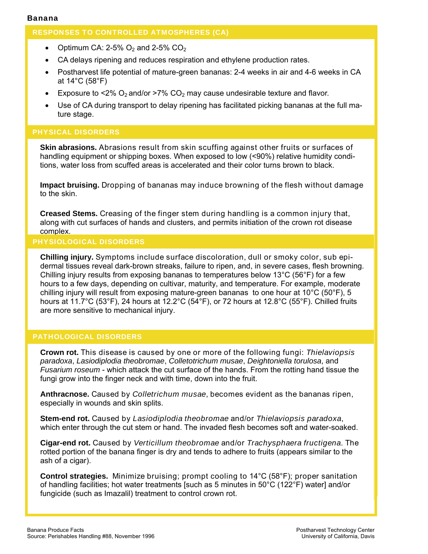#### RESPONSES TO CONTROLLED ATMOSPHERES (CA)

- Optimum CA: 2-5%  $O<sub>2</sub>$  and 2-5% CO<sub>2</sub>
- CA delays ripening and reduces respiration and ethylene production rates.
- Postharvest life potential of mature-green bananas: 2-4 weeks in air and 4-6 weeks in CA at 14°C (58°F)
- Exposure to <2%  $O_2$  and/or >7%  $CO_2$  may cause undesirable texture and flavor.
- Use of CA during transport to delay ripening has facilitated picking bananas at the full mature stage.

#### PHYSICAL DISORDERS

**Skin abrasions.** Abrasions result from skin scuffing against other fruits or surfaces of handling equipment or shipping boxes. When exposed to low (<90%) relative humidity conditions, water loss from scuffed areas is accelerated and their color turns brown to black.

**Impact bruising.** Dropping of bananas may induce browning of the flesh without damage to the skin.

**Creased Stems.** Creasing of the finger stem during handling is a common injury that, along with cut surfaces of hands and clusters, and permits initiation of the crown rot disease complex.

#### PHYSIOLOGICAL DISORDERS

**Chilling injury.** Symptoms include surface discoloration, dull or smoky color, sub epidermal tissues reveal dark-brown streaks, failure to ripen, and, in severe cases, flesh browning. Chilling injury results from exposing bananas to temperatures below 13°C (56°F) for a few hours to a few days, depending on cultivar, maturity, and temperature. For example, moderate chilling injury will result from exposing mature-green bananas to one hour at 10°C (50°F), 5 hours at 11.7°C (53°F), 24 hours at 12.2°C (54°F), or 72 hours at 12.8°C (55°F). Chilled fruits are more sensitive to mechanical injury.

#### PATHOLOGICAL DISORDERS

**Crown rot.** This disease is caused by one or more of the following fungi: *Thielaviopsis paradoxa*, *Lasiodiplodia theobromae*, *Colletotrichum musae*, *Deightoniella torulosa*, and *Fusarium roseum* - which attack the cut surface of the hands. From the rotting hand tissue the fungi grow into the finger neck and with time, down into the fruit.

**Anthracnose.** Caused by *Colletrichum musae*, becomes evident as the bananas ripen, especially in wounds and skin splits.

**Stem-end rot.** Caused by *Lasiodiplodia theobromae* and/or *Thielaviopsis paradoxa*, which enter through the cut stem or hand. The invaded flesh becomes soft and water-soaked.

**Cigar-end rot.** Caused by *Verticillum theobromae* and/or *Trachysphaera fructigena*. The rotted portion of the banana finger is dry and tends to adhere to fruits (appears similar to the ash of a cigar).

**Control strategies.** Minimize bruising; prompt cooling to 14°C (58°F); proper sanitation of handling facilities; hot water treatments [such as 5 minutes in 50°C (122°F) water] and/or fungicide (such as Imazalil) treatment to control crown rot.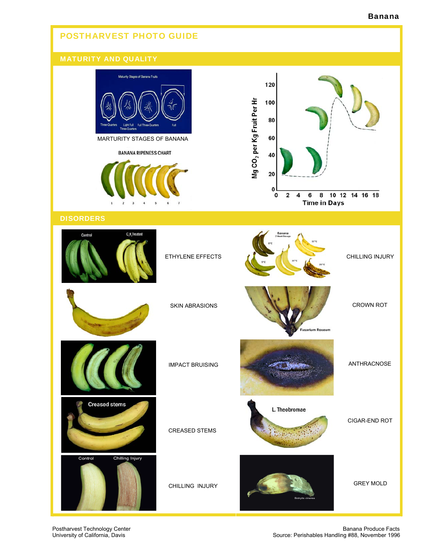#### Banana

# POSTHARVEST PHOTO GUIDE MATURITY AND QUALITY Maturity Stages of Banana Fruits 120 Mg CO<sub>2</sub> per Kg Fruit Per Hr 100 80 MARTURITY STAGES OF BANANA 60 **BANANA RIPENESS CHART** 40 20 0  $\mathbf 2$ 10 12 14 16 18  $\pmb{\mathsf{o}}$  $\pmb{4}$ 6 8 **Time in Days DISORDERS** C<sub>.</sub>H<sub>,</sub>Treated Control ETHYLENE EFFECTS CHILLING INJURY CROWN ROT SKIN ABRASIONS **Eusarium Roseum** ANTHRACNOSE IMPACT BRUISING **Creased stems** L. Theobromae CIGAR-END ROT CREASED STEMS Chilling Injury Control GREY MOLD CHILLING INJURY